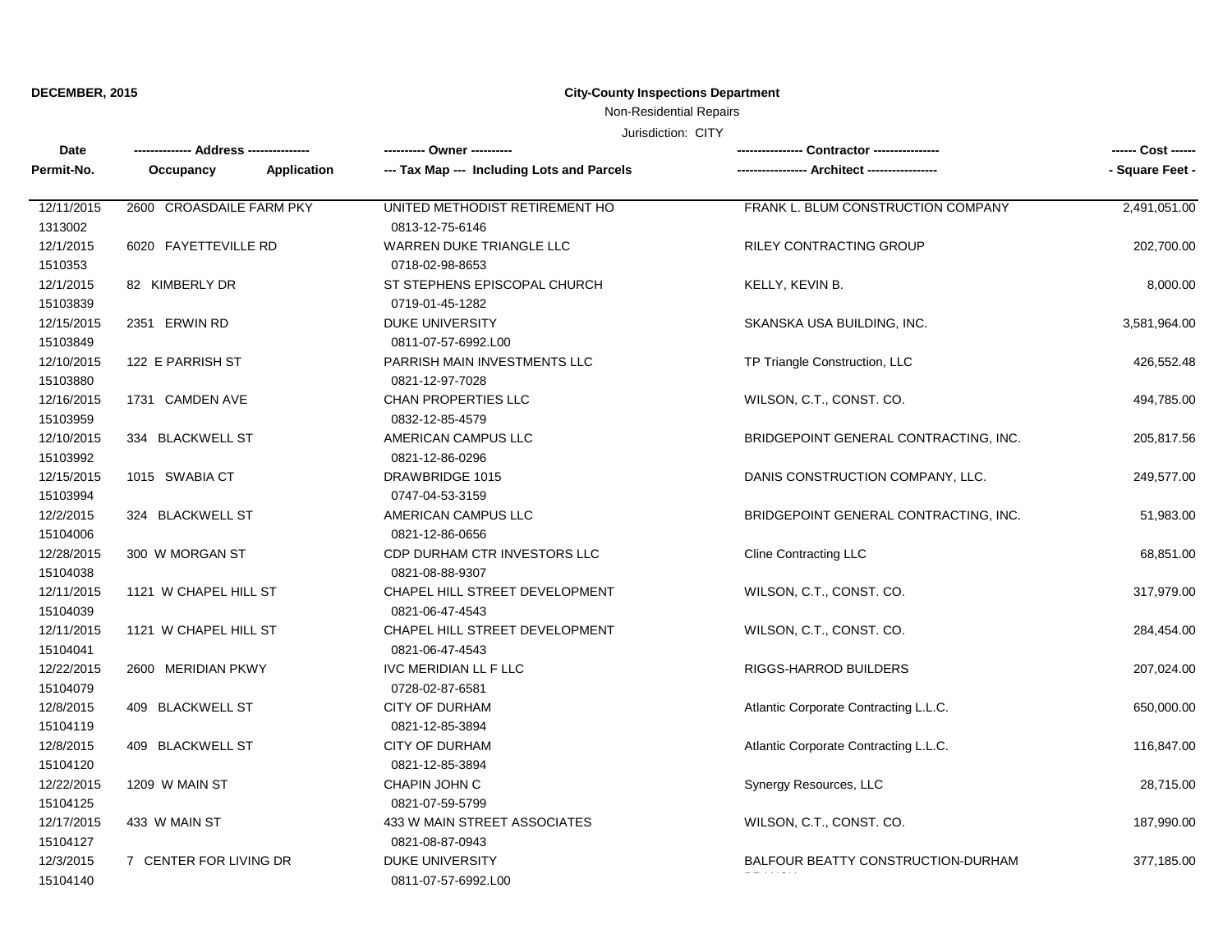### **DECEMBER, 2015 City-County Inspections Department**

## Non-Residential Repairs

Jurisdiction: CITY

| Date                  |                          |                                            |                                       | ------ Cost ------ |
|-----------------------|--------------------------|--------------------------------------------|---------------------------------------|--------------------|
| Permit-No.            | Application<br>Occupancy | --- Tax Map --- Including Lots and Parcels |                                       | - Square Feet -    |
| 12/11/2015            | 2600 CROASDAILE FARM PKY | UNITED METHODIST RETIREMENT HO             | FRANK L. BLUM CONSTRUCTION COMPANY    | 2,491,051.00       |
| 1313002               |                          | 0813-12-75-6146                            |                                       |                    |
| 12/1/2015             | 6020 FAYETTEVILLE RD     | WARREN DUKE TRIANGLE LLC                   | <b>RILEY CONTRACTING GROUP</b>        | 202,700.00         |
| 1510353               |                          | 0718-02-98-8653                            |                                       |                    |
| 12/1/2015             | 82 KIMBERLY DR           | ST STEPHENS EPISCOPAL CHURCH               | KELLY, KEVIN B.                       | 8,000.00           |
| 15103839              |                          | 0719-01-45-1282                            |                                       |                    |
| 12/15/2015            | 2351 ERWIN RD            | <b>DUKE UNIVERSITY</b>                     | SKANSKA USA BUILDING, INC.            | 3,581,964.00       |
| 15103849              |                          | 0811-07-57-6992.L00                        |                                       |                    |
| 12/10/2015            | 122 E PARRISH ST         | PARRISH MAIN INVESTMENTS LLC               | TP Triangle Construction, LLC         | 426,552.48         |
| 15103880              |                          | 0821-12-97-7028                            |                                       |                    |
| 12/16/2015            | 1731 CAMDEN AVE          | CHAN PROPERTIES LLC                        | WILSON, C.T., CONST. CO.              | 494,785.00         |
| 15103959              |                          | 0832-12-85-4579                            |                                       |                    |
| 12/10/2015            | 334 BLACKWELL ST         | AMERICAN CAMPUS LLC                        | BRIDGEPOINT GENERAL CONTRACTING, INC. | 205,817.56         |
| 15103992              |                          | 0821-12-86-0296                            |                                       |                    |
| 12/15/2015            | 1015 SWABIA CT           | <b>DRAWBRIDGE 1015</b>                     | DANIS CONSTRUCTION COMPANY, LLC.      | 249,577.00         |
| 15103994              |                          | 0747-04-53-3159                            |                                       |                    |
| 12/2/2015             | 324 BLACKWELL ST         | AMERICAN CAMPUS LLC                        | BRIDGEPOINT GENERAL CONTRACTING, INC. | 51,983.00          |
| 15104006              |                          | 0821-12-86-0656                            |                                       |                    |
| 12/28/2015            | 300 W MORGAN ST          | CDP DURHAM CTR INVESTORS LLC               | <b>Cline Contracting LLC</b>          | 68,851.00          |
| 15104038              |                          | 0821-08-88-9307                            |                                       |                    |
| 12/11/2015            | 1121 W CHAPEL HILL ST    | CHAPEL HILL STREET DEVELOPMENT             | WILSON, C.T., CONST. CO.              | 317,979.00         |
| 15104039              |                          | 0821-06-47-4543                            |                                       |                    |
| 12/11/2015            | 1121 W CHAPEL HILL ST    | CHAPEL HILL STREET DEVELOPMENT             | WILSON, C.T., CONST. CO.              | 284,454.00         |
| 15104041              |                          | 0821-06-47-4543                            |                                       |                    |
| 12/22/2015            | 2600 MERIDIAN PKWY       | IVC MERIDIAN LL F LLC                      | RIGGS-HARROD BUILDERS                 | 207,024.00         |
| 15104079              |                          | 0728-02-87-6581                            |                                       |                    |
| 12/8/2015             | 409 BLACKWELL ST         | <b>CITY OF DURHAM</b>                      | Atlantic Corporate Contracting L.L.C. | 650,000.00         |
| 15104119              |                          | 0821-12-85-3894                            |                                       |                    |
| 12/8/2015             | 409 BLACKWELL ST         | <b>CITY OF DURHAM</b>                      | Atlantic Corporate Contracting L.L.C. | 116,847.00         |
| 15104120              |                          | 0821-12-85-3894                            |                                       |                    |
| 12/22/2015            | 1209 W MAIN ST           | CHAPIN JOHN C                              | Synergy Resources, LLC                | 28,715.00          |
| 15104125              |                          | 0821-07-59-5799                            |                                       |                    |
| 12/17/2015            | 433 W MAIN ST            | 433 W MAIN STREET ASSOCIATES               | WILSON, C.T., CONST. CO.              | 187,990.00         |
| 15104127<br>12/3/2015 | 7 CENTER FOR LIVING DR   | 0821-08-87-0943<br><b>DUKE UNIVERSITY</b>  | BALFOUR BEATTY CONSTRUCTION-DURHAM    |                    |
| 15104140              |                          | 0811-07-57-6992.L00                        |                                       | 377,185.00         |
|                       |                          |                                            |                                       |                    |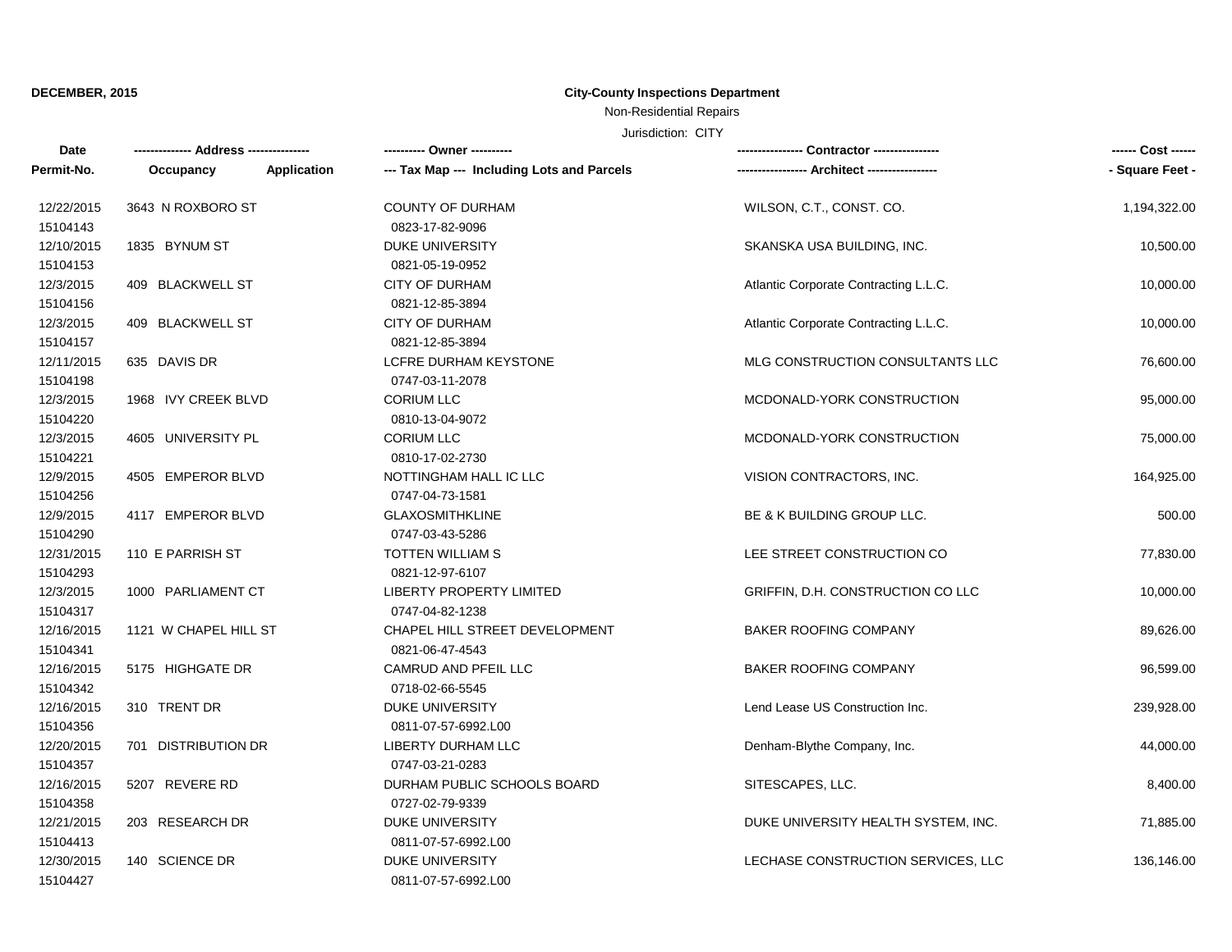### **DECEMBER, 2015 City-County Inspections Department**

### Non-Residential Repairs

Jurisdiction: CITY

| Date                  |                       |                                                           |                                       |                 |
|-----------------------|-----------------------|-----------------------------------------------------------|---------------------------------------|-----------------|
| Permit-No.            | Occupancy             | Application<br>--- Tax Map --- Including Lots and Parcels |                                       | - Square Feet - |
| 12/22/2015            | 3643 N ROXBORO ST     | <b>COUNTY OF DURHAM</b>                                   | WILSON, C.T., CONST. CO.              | 1,194,322.00    |
| 15104143              |                       | 0823-17-82-9096                                           |                                       |                 |
| 12/10/2015            | 1835 BYNUM ST         | <b>DUKE UNIVERSITY</b>                                    | SKANSKA USA BUILDING, INC.            | 10,500.00       |
| 15104153              |                       | 0821-05-19-0952                                           |                                       |                 |
| 12/3/2015             | 409 BLACKWELL ST      | <b>CITY OF DURHAM</b>                                     | Atlantic Corporate Contracting L.L.C. | 10,000.00       |
| 15104156              |                       | 0821-12-85-3894                                           |                                       |                 |
| 12/3/2015<br>15104157 | 409 BLACKWELL ST      | <b>CITY OF DURHAM</b><br>0821-12-85-3894                  | Atlantic Corporate Contracting L.L.C. | 10,000.00       |
| 12/11/2015            | 635 DAVIS DR          | <b>LCFRE DURHAM KEYSTONE</b>                              | MLG CONSTRUCTION CONSULTANTS LLC      | 76,600.00       |
| 15104198              |                       | 0747-03-11-2078                                           |                                       |                 |
| 12/3/2015             | 1968 IVY CREEK BLVD   | <b>CORIUM LLC</b>                                         | MCDONALD-YORK CONSTRUCTION            | 95,000.00       |
| 15104220              |                       | 0810-13-04-9072                                           |                                       |                 |
| 12/3/2015             | 4605 UNIVERSITY PL    | <b>CORIUM LLC</b>                                         | MCDONALD-YORK CONSTRUCTION            | 75,000.00       |
| 15104221              |                       | 0810-17-02-2730                                           |                                       |                 |
| 12/9/2015             | 4505 EMPEROR BLVD     | NOTTINGHAM HALL IC LLC                                    | VISION CONTRACTORS, INC.              | 164,925.00      |
| 15104256              |                       | 0747-04-73-1581                                           |                                       |                 |
| 12/9/2015             | 4117 EMPEROR BLVD     | <b>GLAXOSMITHKLINE</b>                                    | BE & K BUILDING GROUP LLC.            | 500.00          |
| 15104290              |                       | 0747-03-43-5286                                           |                                       |                 |
| 12/31/2015            | 110 E PARRISH ST      | TOTTEN WILLIAM S                                          | LEE STREET CONSTRUCTION CO            | 77,830.00       |
| 15104293              |                       | 0821-12-97-6107                                           |                                       |                 |
| 12/3/2015             | 1000 PARLIAMENT CT    | <b>LIBERTY PROPERTY LIMITED</b>                           | GRIFFIN, D.H. CONSTRUCTION CO LLC     | 10,000.00       |
| 15104317              |                       | 0747-04-82-1238                                           |                                       |                 |
| 12/16/2015            | 1121 W CHAPEL HILL ST | CHAPEL HILL STREET DEVELOPMENT                            | <b>BAKER ROOFING COMPANY</b>          | 89,626.00       |
| 15104341              |                       | 0821-06-47-4543                                           |                                       |                 |
| 12/16/2015            | 5175 HIGHGATE DR      | CAMRUD AND PFEIL LLC                                      | <b>BAKER ROOFING COMPANY</b>          | 96,599.00       |
| 15104342              |                       | 0718-02-66-5545                                           |                                       |                 |
| 12/16/2015            | 310 TRENT DR          | <b>DUKE UNIVERSITY</b>                                    | Lend Lease US Construction Inc.       | 239,928.00      |
| 15104356              |                       | 0811-07-57-6992.L00                                       |                                       |                 |
| 12/20/2015            | 701 DISTRIBUTION DR   | LIBERTY DURHAM LLC                                        | Denham-Blythe Company, Inc.           | 44,000.00       |
| 15104357              |                       | 0747-03-21-0283                                           |                                       |                 |
| 12/16/2015            | 5207 REVERE RD        | DURHAM PUBLIC SCHOOLS BOARD                               | SITESCAPES, LLC.                      | 8,400.00        |
| 15104358              |                       | 0727-02-79-9339                                           |                                       |                 |
| 12/21/2015            | 203 RESEARCH DR       | DUKE UNIVERSITY                                           | DUKE UNIVERSITY HEALTH SYSTEM, INC.   | 71,885.00       |
| 15104413              |                       | 0811-07-57-6992.L00                                       |                                       |                 |
| 12/30/2015            | 140 SCIENCE DR        | <b>DUKE UNIVERSITY</b>                                    | LECHASE CONSTRUCTION SERVICES, LLC    | 136,146.00      |
| 15104427              |                       | 0811-07-57-6992.L00                                       |                                       |                 |